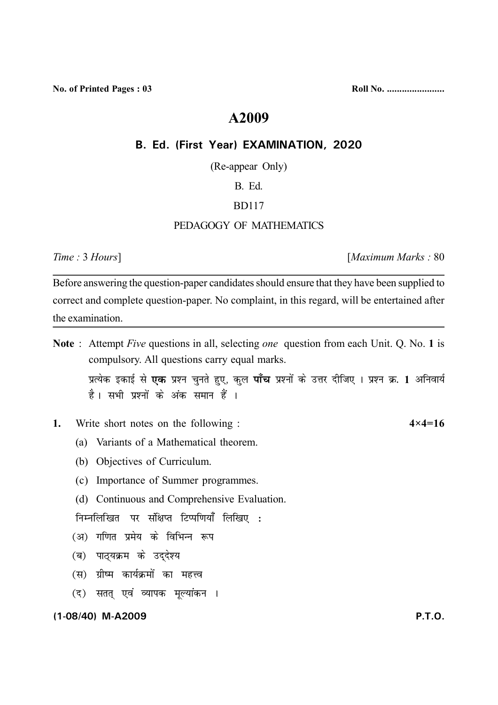**No. of Printed Pages : 03 Roll No. .......................** 

# **A2009**

#### **B. Ed. (First Year) EXAMINATION, 2020**

(Re-appear Only)

#### B. Ed.

## BD117

# PEDAGOGY OF MATHEMATICS

*Time :* 3 *Hours*] [*Maximum Marks :* 80

Before answering the question-paper candidates should ensure that they have been supplied to correct and complete question-paper. No complaint, in this regard, will be entertained after the examination.

**Note** : Attempt *Five* questions in all, selecting *one* question from each Unit. Q. No. **1** is compulsory. All questions carry equal marks.

**i** प्रत्येक इकाई से **एक** प्रश्न चुनते हुए, कुल **पाँच** प्रश्नों के उत्तर दीजिए । प्रश्न क्र. 1 अनिवार्य है। सभी प्रश्नों के अंक समान हैं ।

- **1.** Write short notes on the following : **4×4=16**
	- (a) Variants of a Mathematical theorem.
	- (b) Objectives of Curriculum.
	- (c) Importance of Summer programmes.
	- (d) Continuous and Comprehensive Evaluation.

**fuEufyf[ kr i j l af{kIr fVIi f.k; k¡ fyf[ k, %**

- (अ) गणित प्रमेय के विभिन्न रूप
- *(*ब) पाठयक्रम के उददेश्य
- (स) ग्रीष्म कार्यक्रमों का महत्त्व
- (द) सतत् एवं व्यापक मूल्यांकन ।

**(1-08/40) M-A2009 P.T.O.**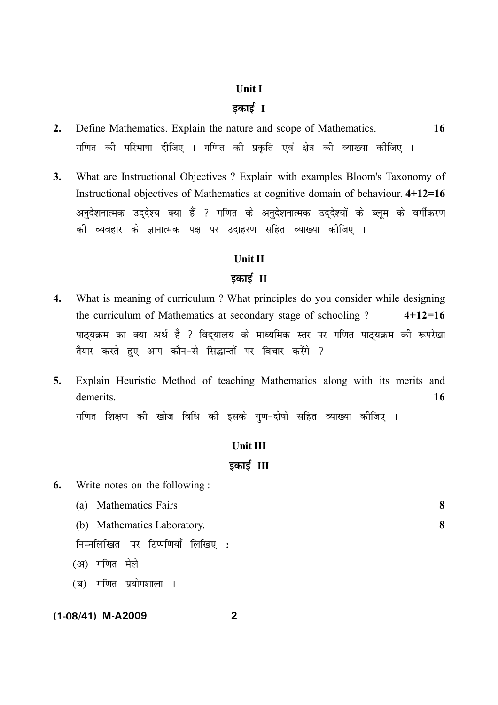#### **Unit I**

## <u>डकार्ड ।</u>

- **2.** Define Mathematics. Explain the nature and scope of Mathematics. **16** गणित की परिभाषा दीजिए । गणित की प्रकृति एवं क्षेत्र की व्याख्या कीजिए ।
- **3.** What are Instructional Objectives ? Explain with examples Bloom's Taxonomy of Instructional objectives of Mathematics at cognitive domain of behaviour. **4+12=16** अनुदेशनात्मक उद्देश्य क्या हैं ? गणित के अनुदेशनात्मक उद्देश्यों के ब्लूम के वर्गीकरण <u>की व्यवहार के ज्ञानात्मक पक्ष पर उदाहरण सहित व्याख्या कीजिए ।</u>

#### **Unit II**

### <u>इकाई II</u>

- **4.** What is meaning of curriculum ? What principles do you consider while designing the curriculum of Mathematics at secondary stage of schooling ? **4+12=16** <u>पाठ्यक्रम का क्या अर्थ है ? विद्यालय के माध्यमिक स्तर पर गणित पाठ्यक्रम की रूपरेखा</u> तैयार करते हुए आप कौन-से सिद्धान्तों पर विचार करेंगे ?
- **5.** Explain Heuristic Method of teaching Mathematics along with its merits and demerits. **16**

गणित शिक्षण की खोज विधि की इसके गुण-दोषों सहित व्याख्या कीजिए ।

# **Unit III**

# <u>5कार्ड III</u>

**6.** Write notes on the following :

| (a) Mathematics Fairs       |  |
|-----------------------------|--|
| (b) Mathematics Laboratory. |  |

**fuEufyf[ kr i j fVIi f.k; k¡ fyf[ k, %**

(अ) गणित मेले

(ब) गणित प्रयोगशाला ।

#### **(1-08/41) M-A2009 2**